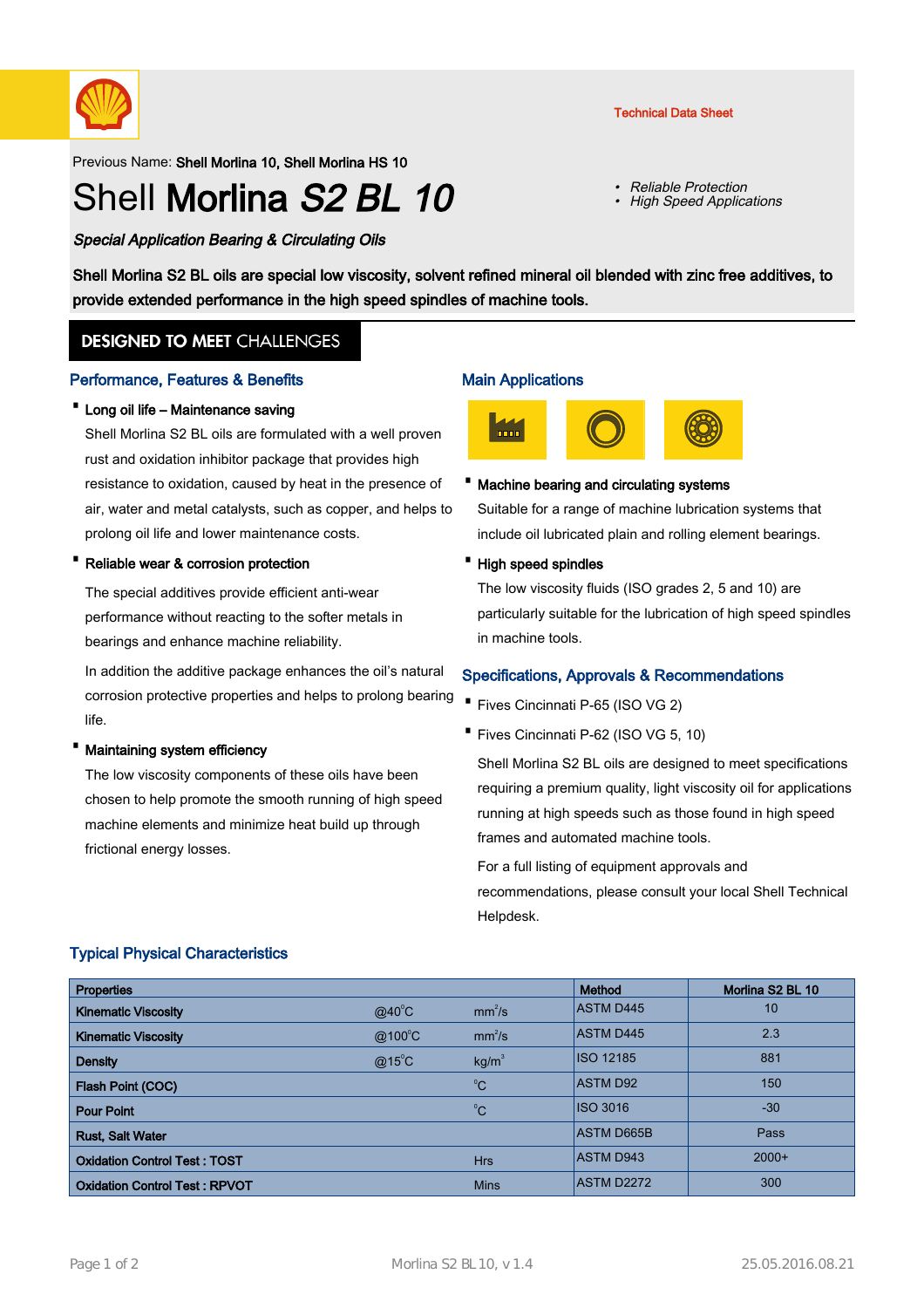

Previous Name: Shell Morlina 10, Shell Morlina HS 10

# Shell Morlina S<sub>2</sub> BL 10

Special Application Bearing & Circulating Oils

Shell Morlina S2 BL oils are special low viscosity, solvent refined mineral oil blended with zinc free additives, to provide extended performance in the high speed spindles of machine tools.

## **DESIGNED TO MEET CHALLENGES**

### Performance, Features & Benefits

### · Long oil life – Maintenance saving

Shell Morlina S2 BL oils are formulated with a well proven rust and oxidation inhibitor package that provides high resistance to oxidation, caused by heat in the presence of air, water and metal catalysts, such as copper, and helps to prolong oil life and lower maintenance costs.

#### Reliable wear & corrosion protection

The special additives provide efficient anti-wear performance without reacting to the softer metals in bearings and enhance machine reliability.

In addition the additive package enhances the oil's natural corrosion protective properties and helps to prolong bearing life.

#### Maintaining system efficiency

The low viscosity components of these oils have been chosen to help promote the smooth running of high speed machine elements and minimize heat build up through frictional energy losses.

#### Main Applications



•

•

#### · Machine bearing and circulating systems

Suitable for a range of machine lubrication systems that include oil lubricated plain and rolling element bearings.

#### · High speed spindles

The low viscosity fluids (ISO grades 2, 5 and 10) are particularly suitable for the lubrication of high speed spindles in machine tools.

## Specifications, Approvals & Recommendations

- · Fives Cincinnati P-65 (ISO VG 2)
- · Fives Cincinnati P-62 (ISO VG 5, 10)

Shell Morlina S2 BL oils are designed to meet specifications requiring a premium quality, light viscosity oil for applications running at high speeds such as those found in high speed frames and automated machine tools.

For a full listing of equipment approvals and recommendations, please consult your local Shell Technical Helpdesk.

## Typical Physical Characteristics

| <b>Properties</b>                    |                 |                    | <b>Method</b>     | Morlina S2 BL 10 |
|--------------------------------------|-----------------|--------------------|-------------------|------------------|
| <b>Kinematic Viscosity</b>           | $@40^{\circ}$ C | mm <sup>2</sup> /s | <b>ASTM D445</b>  | 10               |
| <b>Kinematic Viscosity</b>           | @100°C          | mm <sup>2</sup> /s | <b>ASTM D445</b>  | 2.3              |
| <b>Density</b>                       | $@15^{\circ}$ C | kg/m <sup>3</sup>  | ISO 12185         | 881              |
| Flash Point (COC)                    |                 | $^{\circ}C$        | <b>ASTM D92</b>   | 150              |
| <b>Pour Point</b>                    |                 | $^{\circ}C$        | ISO 3016          | $-30$            |
| <b>Rust, Salt Water</b>              |                 |                    | <b>ASTM D665B</b> | Pass             |
| <b>Oxidation Control Test: TOST</b>  |                 | <b>Hrs</b>         | <b>ASTM D943</b>  | $2000+$          |
| <b>Oxidation Control Test: RPVOT</b> |                 | <b>Mins</b>        | <b>ASTM D2272</b> | 300              |

#### Technical Data Sheet

Reliable Protection

High Speed Applications